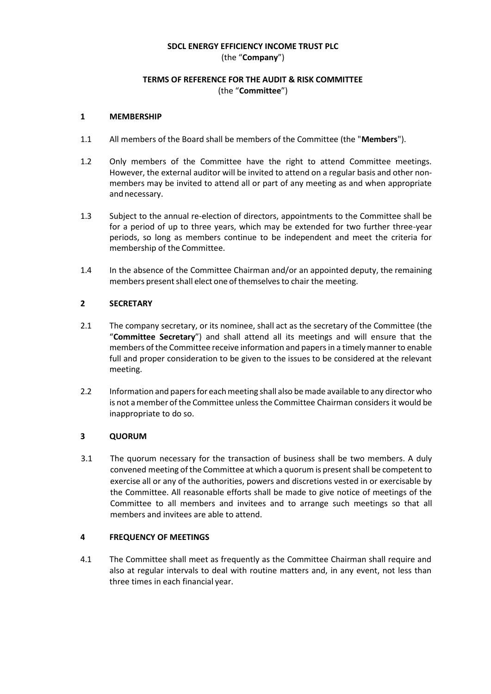## **SDCL ENERGY EFFICIENCY INCOME TRUST PLC** (the "**Company**")

# **TERMS OF REFERENCE FOR THE AUDIT & RISK COMMITTEE** (the "**Committee**")

### **1 MEMBERSHIP**

- 1.1 All members of the Board shall be members of the Committee (the "**Members**").
- 1.2 Only members of the Committee have the right to attend Committee meetings. However, the external auditor will be invited to attend on a regular basis and other nonmembers may be invited to attend all or part of any meeting as and when appropriate and necessary.
- 1.3 Subject to the annual re-election of directors, appointments to the Committee shall be for a period of up to three years, which may be extended for two further three-year periods, so long as members continue to be independent and meet the criteria for membership of the Committee.
- 1.4 In the absence of the Committee Chairman and/or an appointed deputy, the remaining members present shall elect one of themselves to chair the meeting.

## **2 SECRETARY**

- 2.1 The company secretary, or its nominee, shall act as the secretary of the Committee (the "**Committee Secretary**") and shall attend all its meetings and will ensure that the members ofthe Committee receive information and papersin a timely manner to enable full and proper consideration to be given to the issues to be considered at the relevant meeting.
- 2.2 Information and papersfor eachmeeting shall also bemade available to any director who is not amember ofthe Committee unlessthe Committee Chairman considers it would be inappropriate to do so.

#### **3 QUORUM**

3.1 The quorum necessary for the transaction of business shall be two members. A duly convened meeting of the Committee at which a quorum is present shall be competent to exercise all or any of the authorities, powers and discretions vested in or exercisable by the Committee. All reasonable efforts shall be made to give notice of meetings of the Committee to all members and invitees and to arrange such meetings so that all members and invitees are able to attend.

### **4 FREQUENCY OF MEETINGS**

4.1 The Committee shall meet as frequently as the Committee Chairman shall require and also at regular intervals to deal with routine matters and, in any event, not less than three times in each financial year.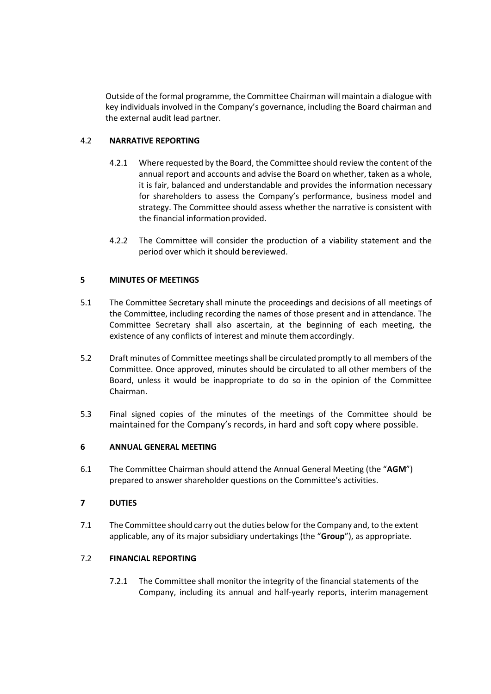Outside of the formal programme, the Committee Chairman will maintain a dialogue with key individuals involved in the Company's governance, including the Board chairman and the external audit lead partner.

# 4.2 **NARRATIVE REPORTING**

- 4.2.1 Where requested by the Board, the Committee should review the content of the annual report and accounts and advise the Board on whether, taken as a whole, it is fair, balanced and understandable and provides the information necessary for shareholders to assess the Company's performance, business model and strategy. The Committee should assess whether the narrative is consistent with the financial information provided.
- 4.2.2 The Committee will consider the production of a viability statement and the period over which it should bereviewed.

# **5 MINUTES OF MEETINGS**

- 5.1 The Committee Secretary shall minute the proceedings and decisions of all meetings of the Committee, including recording the names of those present and in attendance. The Committee Secretary shall also ascertain, at the beginning of each meeting, the existence of any conflicts of interest and minute themaccordingly.
- 5.2 Draft minutes of Committee meetings shall be circulated promptly to all members of the Committee. Once approved, minutes should be circulated to all other members of the Board, unless it would be inappropriate to do so in the opinion of the Committee Chairman.
- 5.3 Final signed copies of the minutes of the meetings of the Committee should be maintained for the Company's records, in hard and soft copy where possible.

# **6 ANNUAL GENERAL MEETING**

6.1 The Committee Chairman should attend the Annual General Meeting (the "**AGM**") prepared to answer shareholder questions on the Committee's activities.

# **7 DUTIES**

7.1 The Committee should carry out the duties below forthe Company and, to the extent applicable, any of its major subsidiary undertakings (the "**Group**"), as appropriate.

# 7.2 **FINANCIAL REPORTING**

7.2.1 The Committee shall monitor the integrity of the financial statements of the Company, including its annual and half-yearly reports, interim management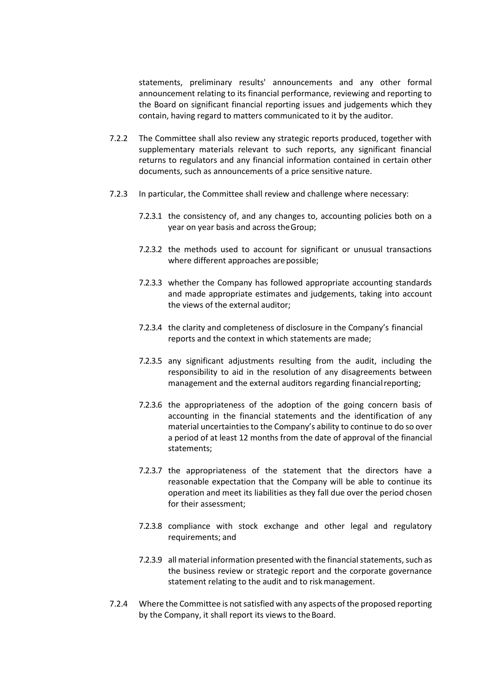statements, preliminary results' announcements and any other formal announcement relating to its financial performance, reviewing and reporting to the Board on significant financial reporting issues and judgements which they contain, having regard to matters communicated to it by the auditor.

- 7.2.2 The Committee shall also review any strategic reports produced, together with supplementary materials relevant to such reports, any significant financial returns to regulators and any financial information contained in certain other documents, such as announcements of a price sensitive nature.
- 7.2.3 In particular, the Committee shall review and challenge where necessary:
	- 7.2.3.1 the consistency of, and any changes to, accounting policies both on a year on year basis and across theGroup;
	- 7.2.3.2 the methods used to account for significant or unusual transactions where different approaches are possible;
	- 7.2.3.3 whether the Company has followed appropriate accounting standards and made appropriate estimates and judgements, taking into account the views of the external auditor;
	- 7.2.3.4 the clarity and completeness of disclosure in the Company's financial reports and the context in which statements are made;
	- 7.2.3.5 any significant adjustments resulting from the audit, including the responsibility to aid in the resolution of any disagreements between management and the external auditors regarding financial reporting;
	- 7.2.3.6 the appropriateness of the adoption of the going concern basis of accounting in the financial statements and the identification of any material uncertainties to the Company's ability to continue to do so over a period of at least 12 months from the date of approval of the financial statements;
	- 7.2.3.7 the appropriateness of the statement that the directors have a reasonable expectation that the Company will be able to continue its operation and meet its liabilities as they fall due over the period chosen for their assessment;
	- 7.2.3.8 compliance with stock exchange and other legal and regulatory requirements; and
	- 7.2.3.9 all material information presented with the financial statements, such as the business review or strategic report and the corporate governance statement relating to the audit and to riskmanagement.
- 7.2.4 Where the Committee is not satisfied with any aspects of the proposed reporting by the Company, it shall report its views to the Board.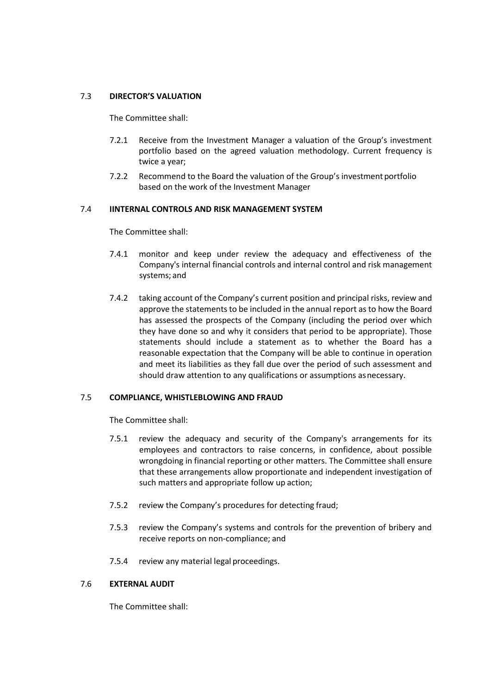## 7.3 **DIRECTOR'S VALUATION**

The Committee shall:

- 7.2.1 Receive from the Investment Manager a valuation of the Group's investment portfolio based on the agreed valuation methodology. Current frequency is twice a year;
- 7.2.2 Recommend to the Board the valuation of the Group's investment portfolio based on the work of the Investment Manager

## 7.4 **IINTERNAL CONTROLS AND RISK MANAGEMENT SYSTEM**

The Committee shall:

- 7.4.1 monitor and keep under review the adequacy and effectiveness of the Company's internal financial controls and internal control and risk management systems; and
- 7.4.2 taking account of the Company's current position and principal risks, review and approve the statements to be included in the annual report as to how the Board has assessed the prospects of the Company (including the period over which they have done so and why it considers that period to be appropriate). Those statements should include a statement as to whether the Board has a reasonable expectation that the Company will be able to continue in operation and meet its liabilities as they fall due over the period of such assessment and should draw attention to any qualifications or assumptions as necessary.

#### 7.5 **COMPLIANCE, WHISTLEBLOWING AND FRAUD**

The Committee shall:

- 7.5.1 review the adequacy and security of the Company's arrangements for its employees and contractors to raise concerns, in confidence, about possible wrongdoing in financial reporting or other matters. The Committee shall ensure that these arrangements allow proportionate and independent investigation of such matters and appropriate follow up action;
- 7.5.2 review the Company's procedures for detecting fraud;
- 7.5.3 review the Company's systems and controls for the prevention of bribery and receive reports on non-compliance; and
- 7.5.4 review any material legal proceedings.

## 7.6 **EXTERNAL AUDIT**

The Committee shall: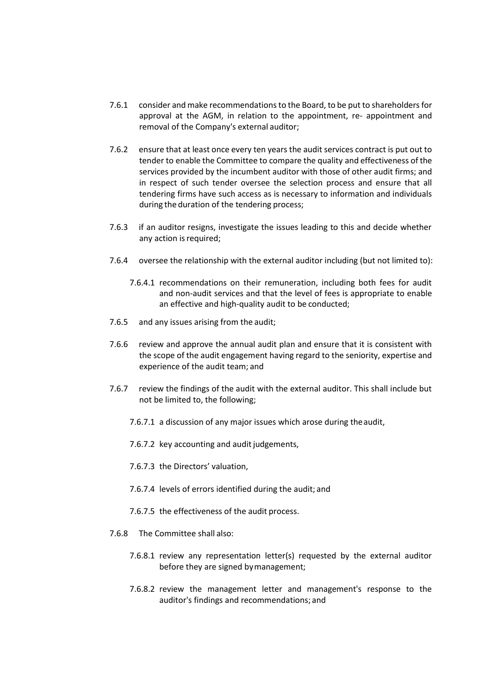- 7.6.1 consider and make recommendationsto the Board, to be put to shareholdersfor approval at the AGM, in relation to the appointment, re- appointment and removal of the Company's external auditor;
- 7.6.2 ensure that at least once every ten years the audit services contract is put out to tender to enable the Committee to compare the quality and effectiveness of the services provided by the incumbent auditor with those of other audit firms; and in respect of such tender oversee the selection process and ensure that all tendering firms have such access as is necessary to information and individuals during the duration of the tendering process;
- 7.6.3 if an auditor resigns, investigate the issues leading to this and decide whether any action is required;
- 7.6.4 oversee the relationship with the external auditor including (but not limited to):
	- 7.6.4.1 recommendations on their remuneration, including both fees for audit and non-audit services and that the level of fees is appropriate to enable an effective and high-quality audit to be conducted;
- 7.6.5 and any issues arising from the audit;
- 7.6.6 review and approve the annual audit plan and ensure that it is consistent with the scope of the audit engagement having regard to the seniority, expertise and experience of the audit team; and
- 7.6.7 review the findings of the audit with the external auditor. This shall include but not be limited to, the following;
	- 7.6.7.1 a discussion of any major issues which arose during the audit,
	- 7.6.7.2 key accounting and audit judgements,
	- 7.6.7.3 the Directors' valuation,
	- 7.6.7.4 levels of errors identified during the audit; and
	- 7.6.7.5 the effectiveness of the audit process.
- 7.6.8 The Committee shall also:
	- 7.6.8.1 review any representation letter(s) requested by the external auditor before they are signed bymanagement;
	- 7.6.8.2 review the management letter and management's response to the auditor's findings and recommendations; and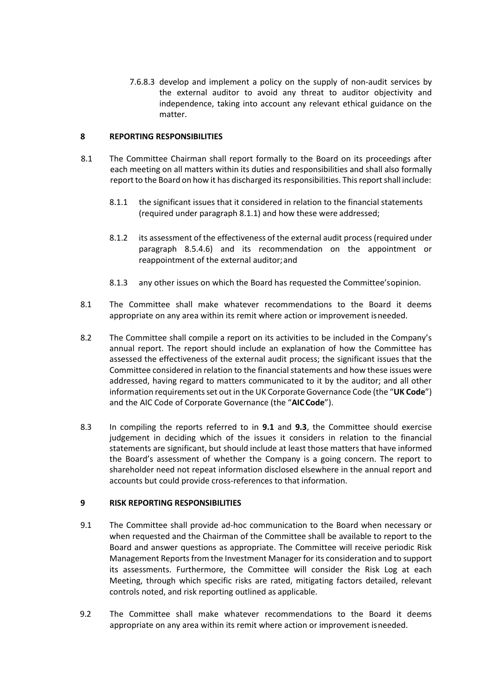7.6.8.3 develop and implement a policy on the supply of non-audit services by the external auditor to avoid any threat to auditor objectivity and independence, taking into account any relevant ethical guidance on the matter.

## **8 REPORTING RESPONSIBILITIES**

- 8.1 The Committee Chairman shall report formally to the Board on its proceedings after each meeting on all matters within its duties and responsibilities and shall also formally report to the Board on how it has discharged its responsibilities. This report shall include:
	- 8.1.1 the significant issues that it considered in relation to the financial statements (required under paragraph 8.1.1) and how these were addressed;
	- 8.1.2 its assessment of the effectiveness of the external audit process(required under paragraph 8.5.4.6) and its recommendation on the appointment or reappointment of the external auditor;and
	- 8.1.3 any other issues on which the Board has requested the Committee'sopinion.
- 8.1 The Committee shall make whatever recommendations to the Board it deems appropriate on any area within its remit where action or improvement isneeded.
- 8.2 The Committee shall compile a report on its activities to be included in the Company's annual report. The report should include an explanation of how the Committee has assessed the effectiveness of the external audit process; the significant issues that the Committee considered in relation to the financial statements and how these issues were addressed, having regard to matters communicated to it by the auditor; and all other information requirements set out in the UK Corporate Governance Code (the "UK Code") and the AIC Code of Corporate Governance (the "**AIC Code**").
- 8.3 In compiling the reports referred to in **9.1** and **9.3**, the Committee should exercise judgement in deciding which of the issues it considers in relation to the financial statements are significant, but should include at least those matters that have informed the Board's assessment of whether the Company is a going concern. The report to shareholder need not repeat information disclosed elsewhere in the annual report and accounts but could provide cross-references to that information.

#### **9 RISK REPORTING RESPONSIBILITIES**

- 9.1 The Committee shall provide ad-hoc communication to the Board when necessary or when requested and the Chairman of the Committee shall be available to report to the Board and answer questions as appropriate. The Committee will receive periodic Risk Management Reportsfrom the Investment Manager for its consideration and to support its assessments. Furthermore, the Committee will consider the Risk Log at each Meeting, through which specific risks are rated, mitigating factors detailed, relevant controls noted, and risk reporting outlined as applicable.
- 9.2 The Committee shall make whatever recommendations to the Board it deems appropriate on any area within its remit where action or improvement isneeded.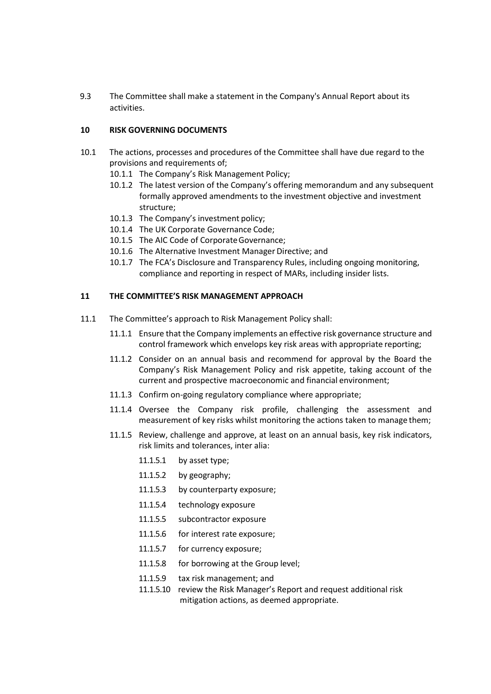9.3 The Committee shall make a statement in the Company's Annual Report about its activities.

### **10 RISK GOVERNING DOCUMENTS**

- 10.1 The actions, processes and procedures of the Committee shall have due regard to the provisions and requirements of;
	- 10.1.1 The Company's Risk Management Policy;
	- 10.1.2 The latest version of the Company's offering memorandum and any subsequent formally approved amendments to the investment objective and investment structure;
	- 10.1.3 The Company's investment policy;
	- 10.1.4 The UK Corporate Governance Code;
	- 10.1.5 The AIC Code of Corporate Governance;
	- 10.1.6 The Alternative Investment Manager Directive; and
	- 10.1.7 The FCA's Disclosure and Transparency Rules, including ongoing monitoring, compliance and reporting in respect of MARs, including insider lists.

#### **11 THE COMMITTEE'S RISK MANAGEMENT APPROACH**

- 11.1 The Committee's approach to Risk Management Policy shall:
	- 11.1.1 Ensure that the Company implements an effective risk governance structure and control framework which envelops key risk areas with appropriate reporting;
	- 11.1.2 Consider on an annual basis and recommend for approval by the Board the Company's Risk Management Policy and risk appetite, taking account of the current and prospective macroeconomic and financial environment;
	- 11.1.3 Confirm on-going regulatory compliance where appropriate;
	- 11.1.4 Oversee the Company risk profile, challenging the assessment and measurement of key risks whilst monitoring the actions taken to manage them;
	- 11.1.5 Review, challenge and approve, at least on an annual basis, key risk indicators, risk limits and tolerances, inter alia:
		- 11.1.5.1 by asset type;
		- 11.1.5.2 by geography;
		- 11.1.5.3 by counterparty exposure;
		- 11.1.5.4 technology exposure
		- 11.1.5.5 subcontractor exposure
		- 11.1.5.6 for interest rate exposure;
		- 11.1.5.7 for currency exposure;
		- 11.1.5.8 for borrowing at the Group level;
		- 11.1.5.9 tax risk management; and
		- 11.1.5.10 review the Risk Manager's Report and request additional risk mitigation actions, as deemed appropriate.